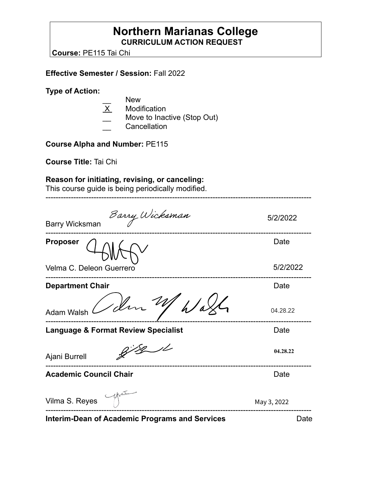## **Northern Marianas College CURRICULUM ACTION REQUEST**

**Course:** PE115 Tai Chi

**Effective Semester / Session:** Fall 2022

**Type of Action:**

- $\overline{X}$  New<br>Modif
- Modification
- Move to Inactive (Stop Out)
- **Cancellation**

**Course Alpha and Number:** PE115

**Course Title:** Tai Chi

### **Reason for initiating, revising, or canceling:**

This course guide is being periodically modified.

| Barry Wicksman<br><b>Barry Wicksman</b>               | 5/2/2022    |
|-------------------------------------------------------|-------------|
| <b>Proposer</b>                                       | Date        |
| Velma C. Deleon Guerrero                              | 5/2/2022    |
| <b>Department Chair</b>                               | Date        |
| 1 din W<br>Adam Walsh                                 | 04.28.22    |
| <b>Language &amp; Format Review Specialist</b>        | Date        |
| Ajani Burrell                                         | 04.28.22    |
| <b>Academic Council Chair</b>                         | Date        |
| Vilma S. Reyes                                        | May 3, 2022 |
| <b>Interim-Dean of Academic Programs and Services</b> | Date        |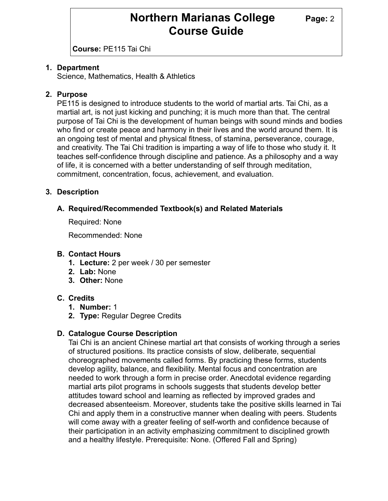## **Northern Marianas College** Page: 2 **Course Guide**

**Course:** PE115 Tai Chi

#### **1. Department**

Science, Mathematics, Health & Athletics

#### **2. Purpose**

PE115 is designed to introduce students to the world of martial arts. Tai Chi, as a martial art, is not just kicking and punching; it is much more than that. The central purpose of Tai Chi is the development of human beings with sound minds and bodies who find or create peace and harmony in their lives and the world around them. It is an ongoing test of mental and physical fitness, of stamina, perseverance, courage, and creativity. The Tai Chi tradition is imparting a way of life to those who study it. It teaches self-confidence through discipline and patience. As a philosophy and a way of life, it is concerned with a better understanding of self through meditation, commitment, concentration, focus, achievement, and evaluation.

#### **3. Description**

#### **A. Required/Recommended Textbook(s) and Related Materials**

Required: None

Recommended: None

#### **B. Contact Hours**

- **1. Lecture:** 2 per week / 30 per semester
- **2. Lab:** None
- **3. Other:** None

#### **C. Credits**

- **1. Number:** 1
- **2. Type:** Regular Degree Credits

#### **D. Catalogue Course Description**

Tai Chi is an ancient Chinese martial art that consists of working through a series of structured positions. Its practice consists of slow, deliberate, sequential choreographed movements called forms. By practicing these forms, students develop agility, balance, and flexibility. Mental focus and concentration are needed to work through a form in precise order. Anecdotal evidence regarding martial arts pilot programs in schools suggests that students develop better attitudes toward school and learning as reflected by improved grades and decreased absenteeism. Moreover, students take the positive skills learned in Tai Chi and apply them in a constructive manner when dealing with peers. Students will come away with a greater feeling of self-worth and confidence because of their participation in an activity emphasizing commitment to disciplined growth and a healthy lifestyle. Prerequisite: None. (Offered Fall and Spring)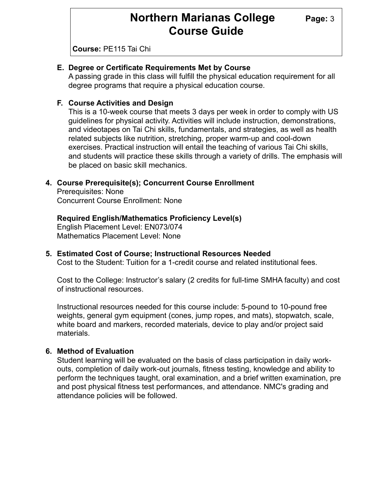## **Northern Marianas College** Page: 3 **Course Guide**

**Course:** PE115 Tai Chi

#### **E. Degree or Certificate Requirements Met by Course**

A passing grade in this class will fulfill the physical education requirement for all degree programs that require a physical education course.

#### **F. Course Activities and Design**

This is a 10-week course that meets 3 days per week in order to comply with US guidelines for physical activity. Activities will include instruction, demonstrations, and videotapes on Tai Chi skills, fundamentals, and strategies, as well as health related subjects like nutrition, stretching, proper warm-up and cool-down exercises. Practical instruction will entail the teaching of various Tai Chi skills, and students will practice these skills through a variety of drills. The emphasis will be placed on basic skill mechanics.

#### **4. Course Prerequisite(s); Concurrent Course Enrollment**

Prerequisites: None Concurrent Course Enrollment: None

#### **Required English/Mathematics Proficiency Level(s)**

English Placement Level: EN073/074 Mathematics Placement Level: None

#### **5. Estimated Cost of Course; Instructional Resources Needed**

Cost to the Student: Tuition for a 1-credit course and related institutional fees.

Cost to the College: Instructor's salary (2 credits for full-time SMHA faculty) and cost of instructional resources.

Instructional resources needed for this course include: 5-pound to 10-pound free weights, general gym equipment (cones, jump ropes, and mats), stopwatch, scale, white board and markers, recorded materials, device to play and/or project said materials.

#### **6. Method of Evaluation**

Student learning will be evaluated on the basis of class participation in daily workouts, completion of daily work-out journals, fitness testing, knowledge and ability to perform the techniques taught, oral examination, and a brief written examination, pre and post physical fitness test performances, and attendance. NMC's grading and attendance policies will be followed.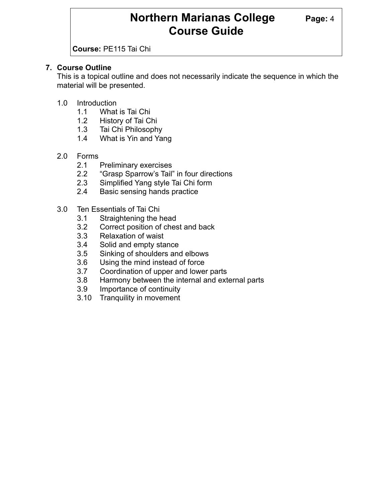## **Northern Marianas College** Page: 4 **Course Guide**

**Course:** PE115 Tai Chi

#### **7. Course Outline**

This is a topical outline and does not necessarily indicate the sequence in which the material will be presented.

- 1.0 Introduction
	- 1.1 What is Tai Chi
	- 1.2 History of Tai Chi
	- 1.3 Tai Chi Philosophy
	- 1.4 What is Yin and Yang
- 2.0 Forms
	- 2.1 Preliminary exercises
	- 2.2 "Grasp Sparrow's Tail" in four directions
	- 2.3 Simplified Yang style Tai Chi form
	- 2.4 Basic sensing hands practice
- 3.0 Ten Essentials of Tai Chi
	- 3.1 Straightening the head
	- 3.2 Correct position of chest and back
	- 3.3 Relaxation of waist
	- 3.4 Solid and empty stance
	- 3.5 Sinking of shoulders and elbows
	- 3.6 Using the mind instead of force
	- 3.7 Coordination of upper and lower parts
	- 3.8 Harmony between the internal and external parts
	- 3.9 Importance of continuity
	- 3.10 Tranquility in movement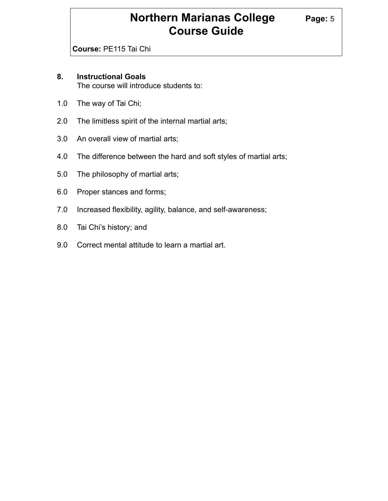## **Northern Marianas College Page: 5 Course Guide**

**Course:** PE115 Tai Chi

#### **8. Instructional Goals**

The course will introduce students to:

- 1.0 The way of Tai Chi;
- 2.0 The limitless spirit of the internal martial arts;
- 3.0 An overall view of martial arts;
- 4.0 The difference between the hard and soft styles of martial arts;
- 5.0 The philosophy of martial arts;
- 6.0 Proper stances and forms;
- 7.0 Increased flexibility, agility, balance, and self-awareness;
- 8.0 Tai Chi's history; and
- 9.0 Correct mental attitude to learn a martial art.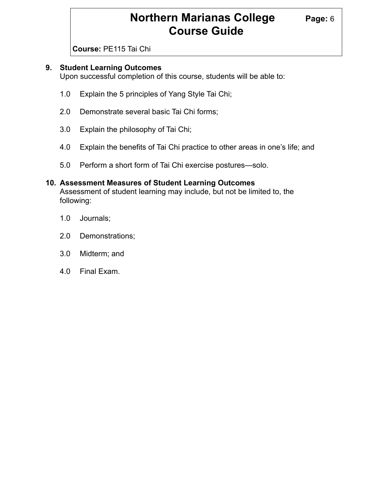## **Northern Marianas College Page: 6 Course Guide**

**Course:** PE115 Tai Chi

#### **9. Student Learning Outcomes**

Upon successful completion of this course, students will be able to:

- 1.0 Explain the 5 principles of Yang Style Tai Chi;
- 2.0 Demonstrate several basic Tai Chi forms;
- 3.0 Explain the philosophy of Tai Chi;
- 4.0 Explain the benefits of Tai Chi practice to other areas in one's life; and
- 5.0 Perform a short form of Tai Chi exercise postures—solo.

#### **10. Assessment Measures of Student Learning Outcomes** Assessment of student learning may include, but not be limited to, the following:

- 1.0 Journals;
- 2.0 Demonstrations;
- 3.0 Midterm; and
- 4.0 Final Exam.